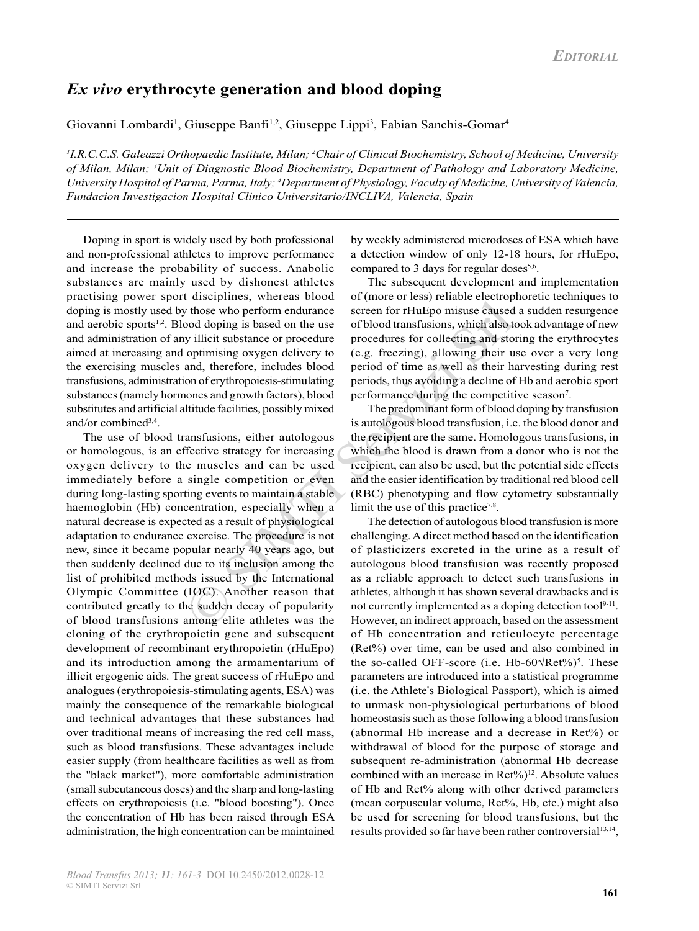## *Ex vivo* **erythrocyte generation and blood doping**

Giovanni Lombardi<sup>1</sup>, Giuseppe Banfi<sup>1,2</sup>, Giuseppe Lippi<sup>3</sup>, Fabian Sanchis-Gomar<sup>4</sup>

*1 I.R.C.C.S. Galeazzi Orthopaedic Institute, Milan; 2 Chair of Clinical Biochemistry, School of Medicine, University of Milan, Milan; 3 Unit of Diagnostic Blood Biochemistry, Department of Pathology and Laboratory Medicine, University Hospital of Parma, Parma, Italy; 4 Department of Physiology, Faculty of Medicine, University of Valencia, Fundacion Investigacion Hospital Clinico Universitario/INCLIVA, Valencia, Spain*

Doping in sport is widely used by both professional and non-professional athletes to improve performance and increase the probability of success. Anabolic substances are mainly used by dishonest athletes practising power sport disciplines, whereas blood doping is mostly used by those who perform endurance and aerobic sports<sup>1,2</sup>. Blood doping is based on the use and administration of any illicit substance or procedure aimed at increasing and optimising oxygen delivery to the exercising muscles and, therefore, includes blood transfusions, administration of erythropoiesis-stimulating substances (namely hormones and growth factors), blood substitutes and artificial altitude facilities, possibly mixed and/or combined3,4.

The two services who perform endurance<br>
those who perform endurance<br>
screen for rHuEpo misuse caused<br>
ood doping is based on the use<br>
or blood transfusions, which also to<br>
optimising oxygen delivery to<br>
e.g. freezing), all The use of blood transfusions, either autologous or homologous, is an effective strategy for increasing oxygen delivery to the muscles and can be used immediately before a single competition or even during long-lasting sporting events to maintain a stable haemoglobin (Hb) concentration, especially when a natural decrease is expected as a result of physiological adaptation to endurance exercise. The procedure is not new, since it became popular nearly 40 years ago, but then suddenly declined due to its inclusion among the list of prohibited methods issued by the International Olympic Committee (IOC). Another reason that contributed greatly to the sudden decay of popularity of blood transfusions among elite athletes was the cloning of the erythropoietin gene and subsequent development of recombinant erythropoietin (rHuEpo) and its introduction among the armamentarium of illicit ergogenic aids. The great success of rHuEpo and analogues (erythropoiesis-stimulating agents, ESA) was mainly the consequence of the remarkable biological and technical advantages that these substances had over traditional means of increasing the red cell mass, such as blood transfusions. These advantages include easier supply (from healthcare facilities as well as from the "black market"), more comfortable administration (small subcutaneous doses) and the sharp and long-lasting effects on erythropoiesis (i.e. "blood boosting"). Once the concentration of Hb has been raised through ESA administration, the high concentration can be maintained

by weekly administered microdoses of ESA which have a detection window of only 12-18 hours, for rHuEpo, compared to 3 days for regular doses<sup>5,6</sup>.

The subsequent development and implementation of (more or less) reliable electrophoretic techniques to screen for rHuEpo misuse caused a sudden resurgence of blood transfusions, which also took advantage of new procedures for collecting and storing the erythrocytes (e.g. freezing), allowing their use over a very long period of time as well as their harvesting during rest periods, thus avoiding a decline of Hb and aerobic sport performance during the competitive season<sup>7</sup>.

 The predominant form of blood doping by transfusion is autologous blood transfusion, i.e. the blood donor and the recipient are the same. Homologous transfusions, in which the blood is drawn from a donor who is not the recipient, can also be used, but the potential side effects and the easier identification by traditional red blood cell (RBC) phenotyping and flow cytometry substantially limit the use of this practice<sup>7,8</sup>.

The detection of autologous blood transfusion is more challenging. A direct method based on the identification of plasticizers excreted in the urine as a result of autologous blood transfusion was recently proposed as a reliable approach to detect such transfusions in athletes, although it has shown several drawbacks and is not currently implemented as a doping detection tool<sup>9-11</sup>. However, an indirect approach, based on the assessment of Hb concentration and reticulocyte percentage (Ret%) over time, can be used and also combined in the so-called OFF-score (i.e. Hb-60 $\sqrt{\text{Ret\%}}$ )<sup>5</sup>. These parameters are introduced into a statistical programme (i.e. the Athlete's Biological Passport), which is aimed to unmask non-physiological perturbations of blood homeostasis such as those following a blood transfusion (abnormal Hb increase and a decrease in Ret%) or withdrawal of blood for the purpose of storage and subsequent re-administration (abnormal Hb decrease combined with an increase in  $Ret\%$ <sup>12</sup>. Absolute values of Hb and Ret% along with other derived parameters (mean corpuscular volume, Ret%, Hb, etc.) might also be used for screening for blood transfusions, but the results provided so far have been rather controversial<sup>13,14</sup>,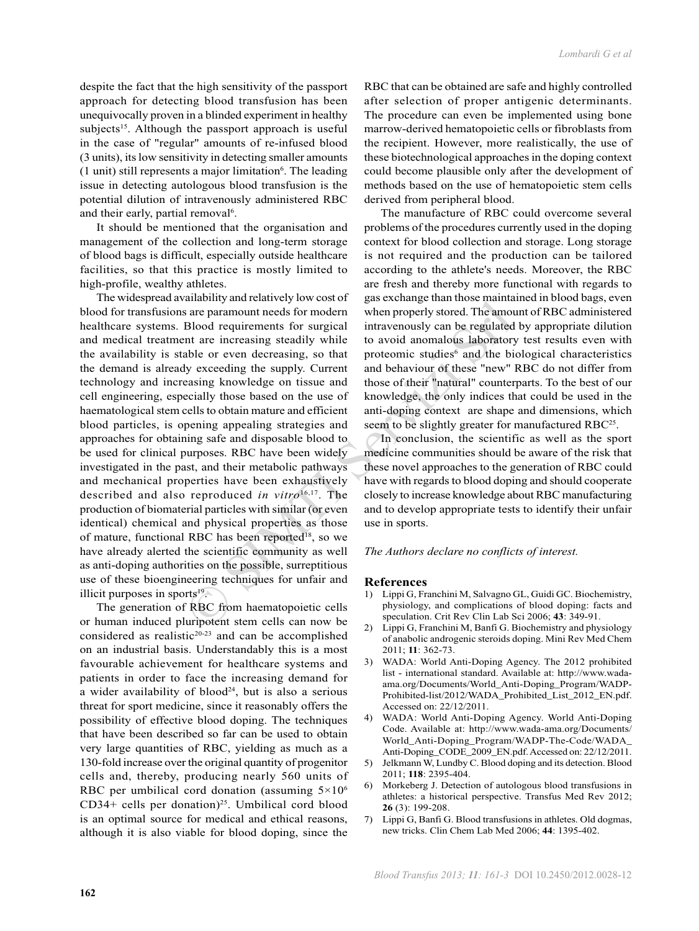despite the fact that the high sensitivity of the passport approach for detecting blood transfusion has been unequivocally proven in a blinded experiment in healthy subjects<sup>15</sup>. Although the passport approach is useful in the case of "regular" amounts of re-infused blood (3 units), its low sensitivity in detecting smaller amounts (1 unit) still represents a major limitation<sup>6</sup>. The leading issue in detecting autologous blood transfusion is the potential dilution of intravenously administered RBC and their early, partial removal<sup>6</sup>.

It should be mentioned that the organisation and management of the collection and long-term storage of blood bags is difficult, especially outside healthcare facilities, so that this practice is mostly limited to high-profile, wealthy athletes.

and any and tractatively invector<br>and properly stored. The amount meads for modern when properly stored. The amou<br>Blood requirements for surgical intravenously can be regulated<br>in the increasing steadily while to avoid an The widespread availability and relatively low cost of blood for transfusions are paramount needs for modern healthcare systems. Blood requirements for surgical and medical treatment are increasing steadily while the availability is stable or even decreasing, so that the demand is already exceeding the supply. Current technology and increasing knowledge on tissue and cell engineering, especially those based on the use of haematological stem cells to obtain mature and efficient blood particles, is opening appealing strategies and approaches for obtaining safe and disposable blood to be used for clinical purposes. RBC have been widely investigated in the past, and their metabolic pathways and mechanical properties have been exhaustively described and also reproduced *in vitro*16,17. The production of biomaterial particles with similar (or even identical) chemical and physical properties as those of mature, functional RBC has been reported<sup>18</sup>, so we have already alerted the scientific community as well as anti-doping authorities on the possible, surreptitious use of these bioengineering techniques for unfair and illicit purposes in sports $19$ .

The generation of RBC from haematopoietic cells or human induced pluripotent stem cells can now be considered as realistic<sup>20-23</sup> and can be accomplished on an industrial basis. Understandably this is a most favourable achievement for healthcare systems and patients in order to face the increasing demand for a wider availability of  $b$ lood<sup>24</sup>, but is also a serious threat for sport medicine, since it reasonably offers the possibility of effective blood doping. The techniques that have been described so far can be used to obtain very large quantities of RBC, yielding as much as a 130-fold increase over the original quantity of progenitor cells and, thereby, producing nearly 560 units of RBC per umbilical cord donation (assuming  $5 \times 10^6$ ) CD34+ cells per donation)<sup>25</sup>. Umbilical cord blood is an optimal source for medical and ethical reasons, although it is also viable for blood doping, since the

RBC that can be obtained are safe and highly controlled after selection of proper antigenic determinants. The procedure can even be implemented using bone marrow-derived hematopoietic cells or fibroblasts from the recipient. However, more realistically, the use of these biotechnological approaches in the doping context could become plausible only after the development of methods based on the use of hematopoietic stem cells derived from peripheral blood.

The manufacture of RBC could overcome several problems of the procedures currently used in the doping context for blood collection and storage. Long storage is not required and the production can be tailored according to the athlete's needs. Moreover, the RBC are fresh and thereby more functional with regards to gas exchange than those maintained in blood bags, even when properly stored. The amount of RBC administered intravenously can be regulated by appropriate dilution to avoid anomalous laboratory test results even with proteomic studies<sup>6</sup> and the biological characteristics and behaviour of these "new" RBC do not differ from those of their "natural" counterparts. To the best of our knowledge, the only indices that could be used in the anti-doping context are shape and dimensions, which seem to be slightly greater for manufactured RBC<sup>25</sup>.

In conclusion, the scientific as well as the sport medicine communities should be aware of the risk that these novel approaches to the generation of RBC could have with regards to blood doping and should cooperate closely to increase knowledge about RBC manufacturing and to develop appropriate tests to identify their unfair use in sports.

*The Authors declare no conflicts of interest.*

## **References**

- 1) Lippi G, Franchini M, Salvagno GL, Guidi GC. Biochemistry, physiology, and complications of blood doping: facts and speculation. Crit Rev Clin Lab Sci 2006; **43**: 349-91.
- 2) Lippi G, Franchini M, Banfi G. Biochemistry and physiology of anabolic androgenic steroids doping. Mini Rev Med Chem 2011; **11**: 362-73.
- 3) WADA: World Anti-Doping Agency. The 2012 prohibited list - international standard. Available at: http://www.wadaama.org/Documents/World\_Anti-Doping\_Program/WADP-Prohibited-list/2012/WADA\_Prohibited\_List\_2012\_EN.pdf. Accessed on: 22/12/2011.
- 4) WADA: World Anti-Doping Agency. World Anti-Doping Code. Available at: http://www.wada-ama.org/Documents/ World\_Anti-Doping\_Program/WADP-The-Code/WADA\_ Anti-Doping\_CODE\_2009\_EN.pdf. Accessed on: 22/12/2011.
- 5) Jelkmann W, Lundby C. Blood doping and its detection. Blood 2011; **118**: 2395-404.
- 6) Morkeberg J. Detection of autologous blood transfusions in athletes: a historical perspective. Transfus Med Rev 2012; **26** (3): 199-208.
- 7) Lippi G, Banfi G. Blood transfusions in athletes. Old dogmas, new tricks. Clin Chem Lab Med 2006; **44**: 1395-402.